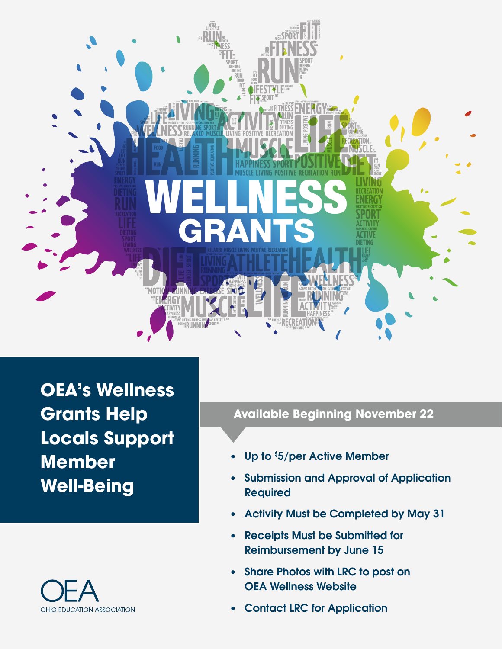

**OEA's Wellness Grants Help Locals Support Member Well-Being**



# **Available Beginning November 22**

- Up to \$5/per Active Member
- Submission and Approval of Application Required
- Activity Must be Completed by May 31
- Receipts Must be Submitted for Reimbursement by June 15
- Share Photos with LRC to post on OEA Wellness Website
- Contact LRC for Application